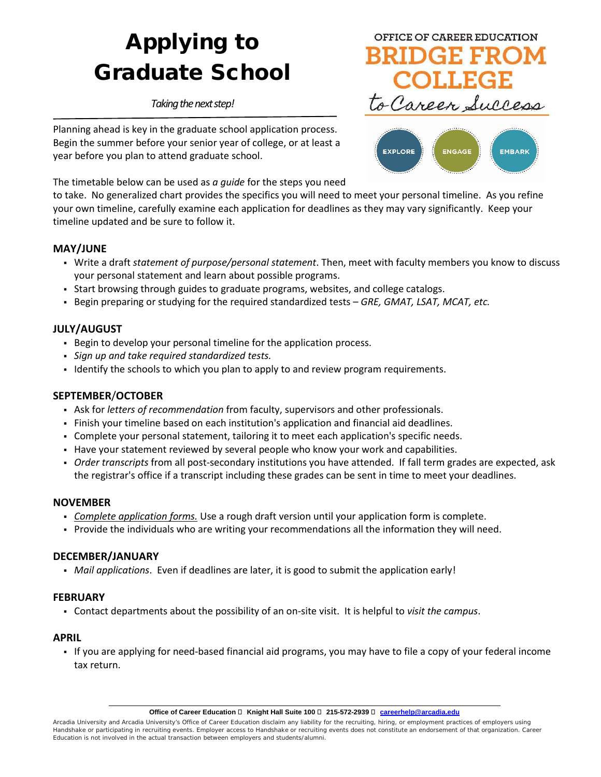# Applying to Graduate School

*Taking the next step!* 

Planning ahead is key in the graduate school application process. Begin the summer before your senior year of college, or at least a year before you plan to attend graduate school.

The timetable below can be used as *a guide* for the steps you need

to take. No generalized chart provides the specifics you will need to meet your personal timeline. As you refine your own timeline, carefully examine each application for deadlines as they may vary significantly. Keep your timeline updated and be sure to follow it.

#### **MAY/JUNE**

- Write a draft *statement of purpose/personal statement*. Then, meet with faculty members you know to discuss your personal statement and learn about possible programs.
- Start browsing through guides to graduate programs, websites, and college catalogs.
- Begin preparing or studying for the required standardized tests *GRE, GMAT, LSAT, MCAT, etc.*

## **JULY/AUGUST**

- Begin to develop your personal timeline for the application process.
- *Sign up and take required standardized tests.*
- Identify the schools to which you plan to apply to and review program requirements.

#### **SEPTEMBER**/**OCTOBER**

- Ask for *letters of recommendation* from faculty, supervisors and other professionals.
- Finish your timeline based on each institution's application and financial aid deadlines.
- Complete your personal statement, tailoring it to meet each application's specific needs.
- Have your statement reviewed by several people who know your work and capabilities.
- *Order transcripts* from all post-secondary institutions you have attended. If fall term grades are expected, ask the registrar's office if a transcript including these grades can be sent in time to meet your deadlines.

#### **NOVEMBER**

- *Complete application forms.* Use a rough draft version until your application form is complete.
- Provide the individuals who are writing your recommendations all the information they will need.

#### **DECEMBER/JANUARY**

*Mail applications*. Even if deadlines are later, it is good to submit the application early!

#### **FEBRUARY**

Contact departments about the possibility of an on-site visit. It is helpful to *visit the campus*.

#### **APRIL**

 If you are applying for need-based financial aid programs, you may have to file a copy of your federal income tax return.



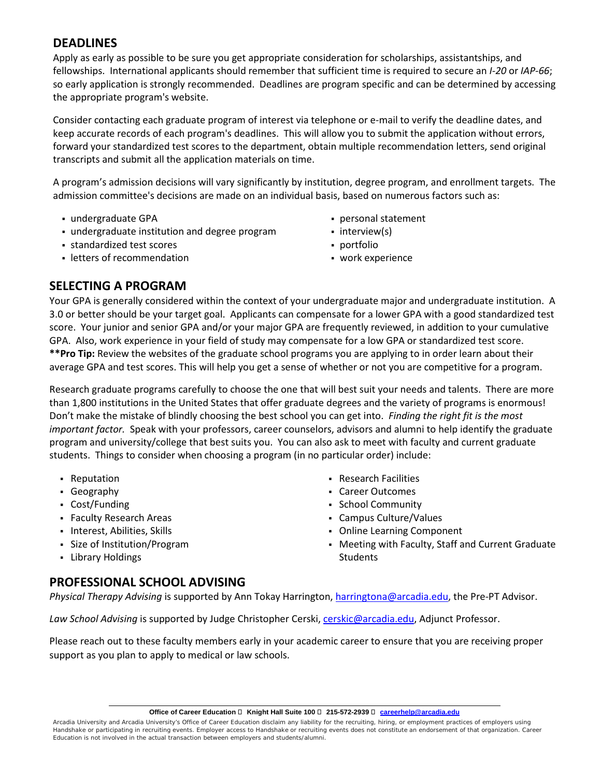# **DEADLINES**

Apply as early as possible to be sure you get appropriate consideration for scholarships, assistantships, and fellowships. International applicants should remember that sufficient time is required to secure an *I-20* or *IAP-66*; so early application is strongly recommended. Deadlines are program specific and can be determined by accessing the appropriate program's website.

Consider contacting each graduate program of interest via telephone or e-mail to verify the deadline dates, and keep accurate records of each program's deadlines. This will allow you to submit the application without errors, forward your standardized test scores to the department, obtain multiple recommendation letters, send original transcripts and submit all the application materials on time.

A program's admission decisions will vary significantly by institution, degree program, and enrollment targets. The admission committee's decisions are made on an individual basis, based on numerous factors such as:

- undergraduate GPA
- undergraduate institution and degree program
- standardized test scores
- letters of recommendation
- personal statement
- interview(s)
- portfolio
- work experience

## **SELECTING A PROGRAM**

Your GPA is generally considered within the context of your undergraduate major and undergraduate institution. A 3.0 or better should be your target goal. Applicants can compensate for a lower GPA with a good standardized test score. Your junior and senior GPA and/or your major GPA are frequently reviewed, in addition to your cumulative GPA. Also, work experience in your field of study may compensate for a low GPA or standardized test score. **\*\*Pro Tip:** Review the websites of the graduate school programs you are applying to in order learn about their average GPA and test scores. This will help you get a sense of whether or not you are competitive for a program.

Research graduate programs carefully to choose the one that will best suit your needs and talents. There are more than 1,800 institutions in the United States that offer graduate degrees and the variety of programs is enormous! Don't make the mistake of blindly choosing the best school you can get into. *Finding the right fit is the most important factor.* Speak with your professors, career counselors, advisors and alumni to help identify the graduate program and university/college that best suits you. You can also ask to meet with faculty and current graduate students. Things to consider when choosing a program (in no particular order) include:

- Reputation
- Geography
- Cost/Funding
- Faculty Research Areas
- **Interest, Abilities, Skills**
- Size of Institution/Program
- Library Holdings
- Research Facilities
- Career Outcomes
- School Community
- Campus Culture/Values
- Online Learning Component
- Meeting with Faculty, Staff and Current Graduate Students

# **PROFESSIONAL SCHOOL ADVISING**

*Physical Therapy Advising* is supported by Ann Tokay Harrington, [harringtona@arcadia.edu,](mailto:harringtona@arcadia.edu) the Pre-PT Advisor.

*Law School Advising* is supported by Judge Christopher Cerski, [cerskic@arcadia.edu,](file://au-store/Data/Staff/Career%20Education/Handouts/Handouts%20Updates%20Needed/cerskic@arcadia.edu) Adjunct Professor.

Please reach out to these faculty members early in your academic career to ensure that you are receiving proper support as you plan to apply to medical or law schools.

Arcadia University and Arcadia University's Office of Career Education disclaim any liability for the recruiting, hiring, or employment practices of employers using Handshake or participating in recruiting events. Employer access to Handshake or recruiting events does not constitute an endorsement of that organization. Career Education is not involved in the actual transaction between employers and students/alumni.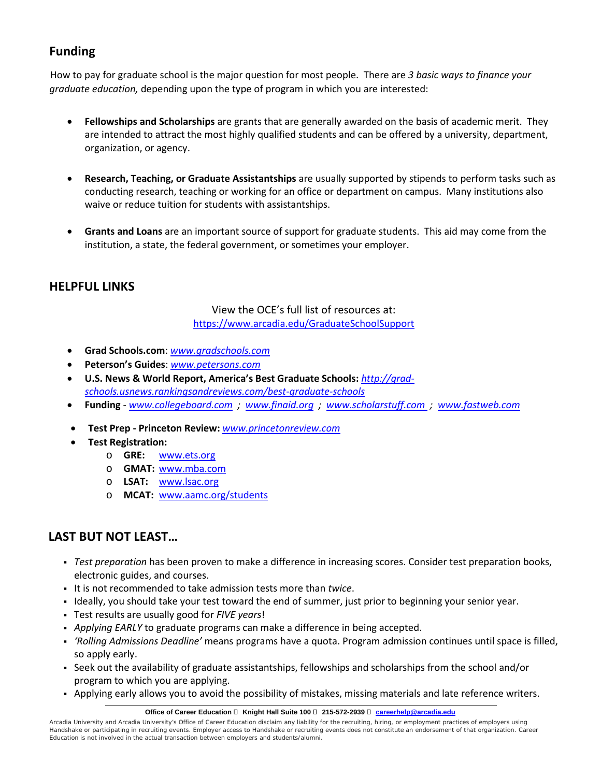# **Funding**

How to pay for graduate school is the major question for most people. There are *3 basic ways to finance your graduate education,* depending upon the type of program in which you are interested:

- **Fellowships and Scholarships** are grants that are generally awarded on the basis of academic merit. They are intended to attract the most highly qualified students and can be offered by a university, department, organization, or agency.
- **Research, Teaching, or Graduate Assistantships** are usually supported by stipends to perform tasks such as conducting research, teaching or working for an office or department on campus. Many institutions also waive or reduce tuition for students with assistantships.
- **Grants and Loans** are an important source of support for graduate students. This aid may come from the institution, a state, the federal government, or sometimes your employer.

# **HELPFUL LINKS**

View the OCE's full list of resources at: <https://www.arcadia.edu/GraduateSchoolSupport>

- **Grad Schools.com**: *[www.gradschools.com](file://au-store/Data/Staff/Career%20Education/Handouts/Handouts%20Updates%20Needed/www.gradschools.com%20)*
- **Peterson's Guides**: *[www.petersons.com](file://au-store/Data/Staff/Career%20Education/Handouts/Handouts%20Updates%20Needed/www.petersons.com)*
- **U.S. News & World Report, America's Best Graduate Schools:** *[http://grad](http://grad-schools.usnews.rankingsandreviews.com/best-graduate-schools)[schools.usnews.rankingsandreviews.com/best-graduate-schools](http://grad-schools.usnews.rankingsandreviews.com/best-graduate-schools)*
- **Funding** *[www.collegeboard.com](http://www.collegeboard.com/) ; [www.finaid.org](http://www.finaid.org/) ; [www.scholarstuff.com](http://www.scholarstuff.com/) ; [www.fastweb.com](http://www.fastweb.com/)*
- **Test Prep - Princeton Review:** *[www.princetonreview.com](http://www.princetonreview.com/)*
- **Test Registration:**
	- o **GRE:** [www.ets.org](http://www.ets.org/)
	- o **GMAT:** [www.mba.com](http://www.mba.com/)
	- o **LSAT:** [www.lsac.org](http://www.lsac.org/)
	- o **MCAT:** [www.aamc.org/students](http://www.aamc.org/students)

# **LAST BUT NOT LEAST…**

- *Test preparation* has been proven to make a difference in increasing scores. Consider test preparation books, electronic guides, and courses.
- It is not recommended to take admission tests more than *twice*.
- Ideally, you should take your test toward the end of summer, just prior to beginning your senior year.
- Test results are usually good for *FIVE years*!
- *Applying EARLY* to graduate programs can make a difference in being accepted.
- *'Rolling Admissions Deadline'* means programs have a quota. Program admission continues until space is filled, so apply early.
- Seek out the availability of graduate assistantships, fellowships and scholarships from the school and/or program to which you are applying.
- Applying early allows you to avoid the possibility of mistakes, missing materials and late reference writers.

Arcadia University and Arcadia University's Office of Career Education disclaim any liability for the recruiting, hiring, or employment practices of employers using Handshake or participating in recruiting events. Employer access to Handshake or recruiting events does not constitute an endorsement of that organization. Career Education is not involved in the actual transaction between employers and students/alumni.